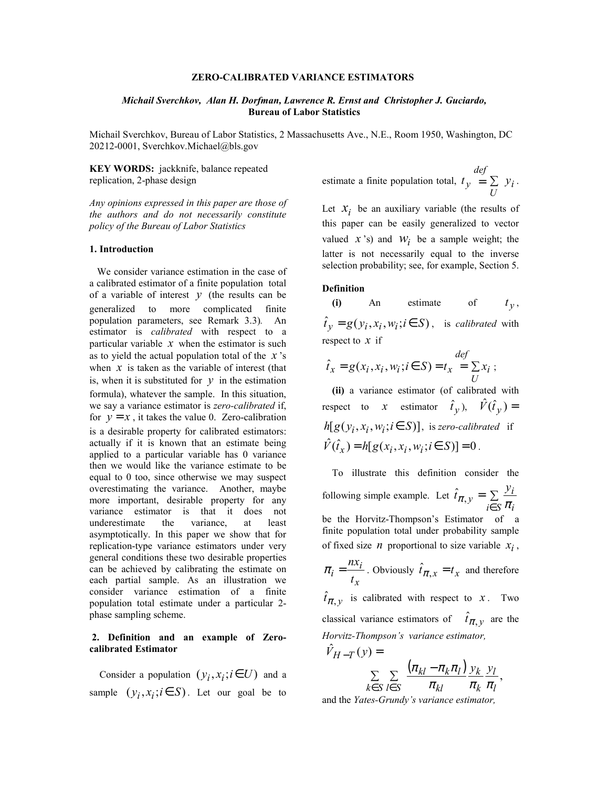# **ZERO-CALIBRATED VARIANCE ESTIMATORS**

## *Michail Sverchkov, Alan H. Dorfman, Lawrence R. Ernst and Christopher J. Guciardo,*  **Bureau of Labor Statistics**

Michail Sverchkov, Bureau of Labor Statistics, 2 Massachusetts Ave., N.E., Room 1950, Washington, DC 20212-0001, Sverchkov.Michael@bls.gov

**KEY WORDS:** jackknife, balance repeated replication, 2-phase design

*Any opinions expressed in this paper are those of the authors and do not necessarily constitute policy of the Bureau of Labor Statistics* 

### **1. Introduction**

We consider variance estimation in the case of a calibrated estimator of a finite population total of a variable of interest  $y$  (the results can be generalized to more complicated finite population parameters, see Remark 3.3)*.* An estimator is *calibrated* with respect to a particular variable  $x$  when the estimator is such as to yield the actual population total of the *x* 's when  $x$  is taken as the variable of interest (that is, when it is substituted for  $y$  in the estimation formula), whatever the sample. In this situation, we say a variance estimator is *zero-calibrated* if, for  $y = x$ , it takes the value 0. Zero-calibration is a desirable property for calibrated estimators: actually if it is known that an estimate being applied to a particular variable has 0 variance then we would like the variance estimate to be equal to 0 too, since otherwise we may suspect overestimating the variance. Another, maybe more important, desirable property for any variance estimator is that it does not underestimate the variance, at least asymptotically. In this paper we show that for replication-type variance estimators under very general conditions these two desirable properties can be achieved by calibrating the estimate on each partial sample. As an illustration we consider variance estimation of a finite population total estimate under a particular 2 phase sampling scheme.

## **2. Definition and an example of Zerocalibrated Estimator**

Consider a population  $(y_i, x_i; i \in U)$  and a sample  $(y_i, x_i; i \in S)$ . Let our goal be to estimate a finite population total,  $t_y = \sum y_i$ *U def*  $t_y = \sum y_i$ .

Let  $x_i$  be an auxiliary variable (the results of this paper can be easily generalized to vector valued  $x$  's) and  $W_i$  be a sample weight; the latter is not necessarily equal to the inverse selection probability; see, for example, Section 5.

### **Definition**

**(i)** An estimate of  $t_y$ ,  $\hat{t}_y = g(y_i, x_i, w_i; i \in S)$ , is *calibrated* with respect to *x* if

$$
\hat{t}_x = g(x_i, x_i, w_i; i \in S) = t_x = \sum_{U} x_i;
$$

 **(ii)** a variance estimator (of calibrated with respect to *x* estimator  $\hat{t}_y$ ),  $\hat{V}(\hat{t}_y) =$  $h[g(y_i, x_i, w_i; i \in S)]$ , is *zero-calibrated* if  $\hat{V}(\hat{t}_x) = h[g(x_i, x_i, w_i; i \in S)] = 0$ .

 To illustrate this definition consider the following simple example. Let  $\hat{t}_{\pi, v} = \sum$ *i*∈*S i*  $\hat{t}_{\pi,y} = \sum_{i \in S} \frac{y_i}{\pi_i}$ be the Horvitz-Thompson's Estimator of a finite population total under probability sample of fixed size *n* proportional to size variable  $x_i$ , *nx*

$$
\pi_i = \frac{n x_i}{t_x}
$$
. Obviously  $\hat{t}_{\pi, x} = t_x$  and therefore  
 $\hat{t}_{\pi, y}$  is calibrated with respect to x. Two  
classical variance estimators of  $\hat{t}_{\pi, y}$  are the  
Horvitz-Thompson's variance estimator,

$$
\hat{V}_{H-T}(y) = \sum_{k \in S} \sum_{l \in S} \frac{(\pi_{kl} - \pi_k \pi_l)}{\pi_{kl}} \frac{y_k}{\pi_k} \frac{y_l}{\pi_l},
$$

and the *Yates-Grundy's variance estimator,*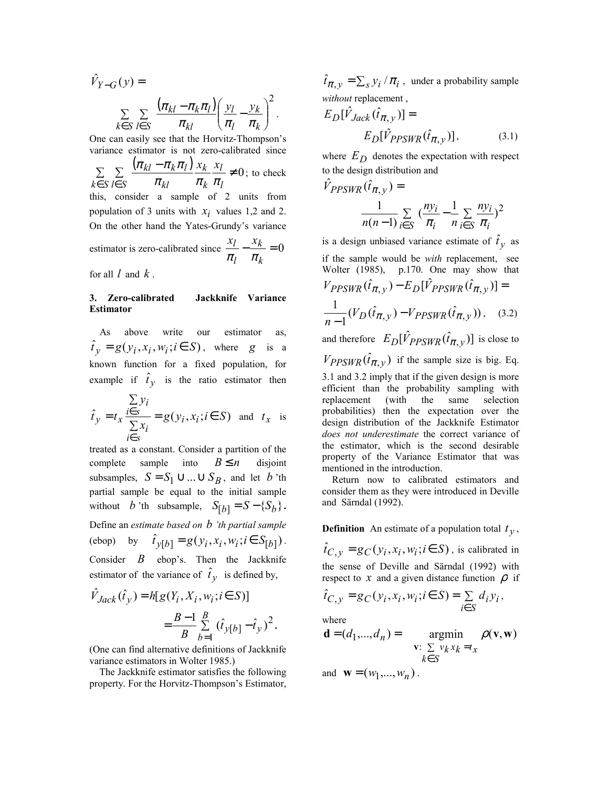$$
\hat{V}_{Y-G}(y) = \sum_{k \in S} \sum_{l \in S} \frac{(\pi_{kl} - \pi_k \pi_l)}{\pi_{kl}} \left( \frac{y_l}{\pi_l} - \frac{y_k}{\pi_k} \right)^2.
$$
  
One can easily see that the Horvitz-Thompson's

variance estimator is not zero-calibrated since  $\sum \sum \frac{(\pi_{kl} - \pi_k \pi_l)}{\sum x_k} \frac{x_l}{x_l} \neq 0$  $\in S \le S$   $\pi_{kl}$   $\pi_k$   $\pi_l$ *l k k kl*  $_{kl}$   $-\pi _{k}$  $\pi _{l}$ *k S l S*  $x_k$  *x*  $\pi_{\scriptscriptstyle{kl}}$   $\pi_{\scriptscriptstyle{k}}$   $\pi$  $\frac{\pi_{kl} - \pi_k \pi_l}{\pi_k} \frac{x_k}{x_l} \neq 0$ ; to check this, consider a sample of 2 units from population of 3 units with  $x_i$  values 1,2 and 2. On the other hand the Yates-Grundy's variance estimator is zero-calibrated since  $\frac{x_l}{r} - \frac{x_k}{r} = 0$ *k k l*  $\begin{array}{cc} x_l & x_l \end{array}$  $\pi$ <sub>1</sub>  $\pi$ for all *l* and *k* .

# **3. Zero-calibrated Jackknife Variance Estimator**

As above write our estimator as,  $\hat{t}_y = g(y_i, x_i, w_i; i \in S)$ , where *g* is a known function for a fixed population, for example if  $\hat{t}_y$  is the ratio estimator then

$$
\hat{t}_y = t_x \frac{\sum\limits_{i \in S} y_i}{\sum\limits_{i \in S} x_i} = g(y_i, x_i; i \in S) \text{ and } t_x \text{ is}
$$

treated as a constant. Consider a partition of the complete sample into  $B \le n$  disjoint subsamples,  $S = S_1 \cup ... \cup S_R$ , and let *b* 'th partial sample be equal to the initial sample without *b* 'th subsample,  $S_{[b]} = S - \{S_b\}$ . Define an *estimate based on b 'th partial sample* (ebop) by  $\hat{t}_{\nu[b]} = g(y_i, x_i, w_i; i \in S_{[b]})$ . Consider *B* ebop's. Then the Jackknife estimator of the variance of  $\hat{t}_y$  is defined by,

$$
\hat{V}_{Jack}(\hat{t}_y) = h[g(Y_i, X_i, w_i; i \in S)]
$$

$$
= \frac{B - 1}{B} \sum_{b=1}^{B} (\hat{t}_{y[b]} - \hat{t}_y)^2
$$

(One can find alternative definitions of Jackknife variance estimators in Wolter 1985.)

 The Jackknife estimator satisfies the following property. For the Horvitz-Thompson's Estimator,

 $\hat{i}_{\pi, y} = \sum_{s} y_i / \pi_i$ , under a probability sample *without* replacement ,

$$
E_D[\hat{V}_{Jack}(\hat{t}_{\pi, y})] =
$$
  
\n
$$
E_D[\hat{V}_{PPSWR}(\hat{t}_{\pi, y})],
$$
\n(3.1)

where  $E_D$  denotes the expectation with respect to the design distribution and

$$
\hat{V}_{PPSWR}(\hat{t}_{\pi,y}) = \frac{1}{n(n-1)\sum_{i \in S} (\frac{ny_i}{\pi_i} - \frac{1}{n}\sum_{i \in S} \frac{ny_i}{\pi_i})^2}
$$

is a design unbiased variance estimate of  $\hat{t}_y$  as if the sample would be *with* replacement, see Wolter (1985), p.170. One may show that  $V_{PPSWR}(\hat{t}_{\pi, y}) - E_D[\hat{V}_{PPSWR}(\hat{t}_{\pi, y})] =$  $\frac{1}{n-1}(V_D(\hat{t}_{\pi,y}) - V_{PPSWR}(\hat{t}_{\pi,y}))$ , (3.2) and therefore  $E_D[\hat{V}_{PPSWR}(\hat{t}_{\pi, v})]$  is close to  $V_{PPSWR}(\hat{t}_{\pi, y})$  if the sample size is big. Eq. 3.1 and 3.2 imply that if the given design is more efficient than the probability sampling with replacement (with the same selection probabilities) then the expectation over the design distribution of the Jackknife Estimator *does not underestimate* the correct variance of the estimator, which is the second desirable property of the Variance Estimator that was mentioned in the introduction.

 Return now to calibrated estimators and consider them as they were introduced in Deville and Särndal (1992).

# **Definition** An estimate of a population total  $t<sub>y</sub>$ ,

 $\hat{i}_{C, v} = g_C(y_i, x_i, w_i; i \in S)$ , is calibrated in the sense of Deville and Särndal (1992) with respect to  $x$  and a given distance function  $\rho$  if

$$
\hat{t}_{C,y} = g_C(y_i, x_i, w_i; i \in S) = \sum_{i \in S} d_i y_i,
$$

where

**.** 

$$
\mathbf{d} = (d_1, ..., d_n) = \operatorname*{argmin}_{\mathbf{v}: \sum_{k \in S} v_k x_k = t_x} \rho(\mathbf{v}, \mathbf{w})
$$

and  $\mathbf{w} = (w_1, ..., w_n)$ .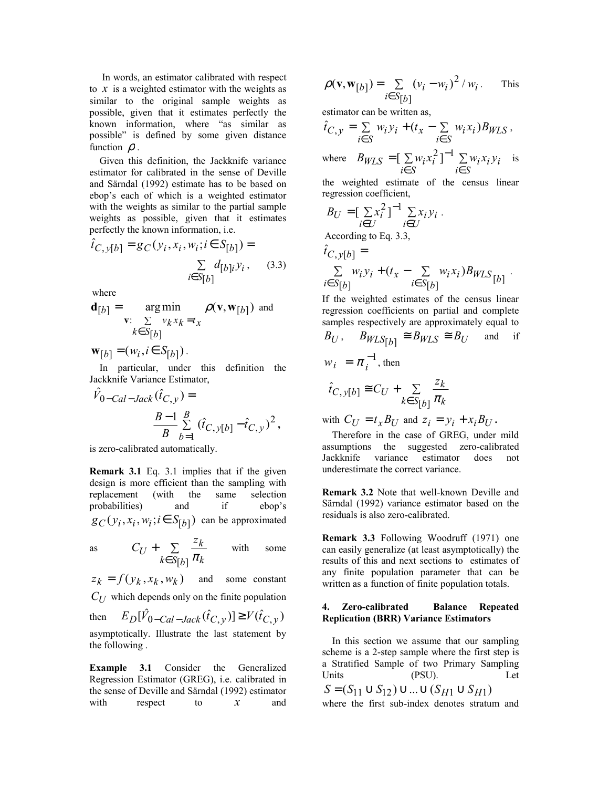In words, an estimator calibrated with respect to *x* is a weighted estimator with the weights as similar to the original sample weights as possible, given that it estimates perfectly the known information, where "as similar as possible" is defined by some given distance function  $\rho$ .

 Given this definition, the Jackknife variance estimator for calibrated in the sense of Deville and Särndal (1992) estimate has to be based on ebop's each of which is a weighted estimator with the weights as similar to the partial sample weights as possible, given that it estimates perfectly the known information, i.e.

$$
\hat{t}_{C, y[b]} = g_C(y_i, x_i, w_i; i \in S_{[b]}) = \sum_{i \in S[b]} d_{[b]i} y_i, \quad (3.3)
$$

where

$$
\mathbf{d}_{[b]} = \operatorname*{arg\,min}_{\mathbf{v}: \sum\limits_{k \in S_{[b]}} v_k x_k = t_x} \rho(\mathbf{v}, \mathbf{w}_{[b]}) \text{ and}
$$
\n
$$
\mathbf{w}_{[b]} = (w_i, i \in S_{[b]})
$$

In particular, under this definition the Jackknife Variance Estimator,

$$
\hat{V}_{0-Cal-Jack}(\hat{t}_{C,y}) =
$$
\n
$$
\frac{B-1}{B} \sum_{b=1}^{B} (\hat{t}_{C,y[b]} - \hat{t}_{C,y})^2,
$$

is zero-calibrated automatically.

**Remark 3.1** Eq. 3.1 implies that if the given design is more efficient than the sampling with replacement (with the same selection probabilities) and if ebop's  $g_C(y_i, x_i, w_i; i \in S_{b]})$  can be approximated

as 
$$
C_U + \sum_{k \in S[b]} \frac{z_k}{\pi_k}
$$
 with some

 $z_k = f(y_k, x_k, w_k)$  and some constant  $C_{II}$  which depends only on the finite population then  $E_D[\hat{V}_{0 - Cal - Jack}(\hat{t}_{C, y})] \ge V(\hat{t}_{C, y})$ asymptotically. Illustrate the last statement by the following .

**Example 3.1** Consider the Generalized Regression Estimator (GREG), i.e. calibrated in the sense of Deville and Särndal (1992) estimator with respect to x and

$$
\rho(\mathbf{v}, \mathbf{w}_{b]}) = \sum_{i \in S[b]} (v_i - w_i)^2 / w_i.
$$
 This

estimator can be written as,

$$
\hat{t}_{C,y} = \sum_{i \in S} w_i y_i + (t_x - \sum_{i \in S} w_i x_i) B_{WLS},
$$
  
where 
$$
B_{WLS} = \left[\sum_{i \in S} w_i x_i^2\right]^{-1} \sum_{i \in S} w_i x_i y_i
$$
 is

the weighted estimate of the census linear regression coefficient,

$$
B_U = \left[\sum_{i \in U} x_i^2\right]^{-1} \sum_{i \in U} x_i y_i.
$$

According to Eq. 3.3,

$$
\hat{t}_{C, y[b]} = \sum_{i \in S[b]} w_i y_i + (t_x - \sum_{i \in S[b]} w_i x_i) B_{WLS} \begin{bmatrix} b \end{bmatrix}.
$$

If the weighted estimates of the census linear regression coefficients on partial and complete samples respectively are approximately equal to

$$
B_U
$$
,  $B_{WLS}[b] \cong B_{WLS} \cong B_U$  and if  
\n $w_i = \pi_i^{-1}$ , then  
\n $\hat{t}_{C,y}[b] \cong C_U + \sum_{k \in S[b]} \frac{z_k}{\pi_k}$ 

with  $C_{II} = t_x B_{II}$  and  $z_i = y_i + x_i B_{II}$ .

 Therefore in the case of GREG, under mild assumptions the suggested zero-calibrated Jackknife variance estimator does not underestimate the correct variance.

**Remark 3.2** Note that well-known Deville and Särndal (1992) variance estimator based on the residuals is also zero-calibrated.

**Remark 3.3** Following Woodruff (1971) one can easily generalize (at least asymptotically) the results of this and next sections to estimates of any finite population parameter that can be written as a function of finite population totals.

## **4. Zero-calibrated Balance Repeated Replication (BRR) Variance Estimators**

In this section we assume that our sampling scheme is a 2-step sample where the first step is a Stratified Sample of two Primary Sampling Units (PSU). Let  $S = (S_{11} \cup S_{12}) \cup ... \cup (S_{H1} \cup S_{H1})$ where the first sub-index denotes stratum and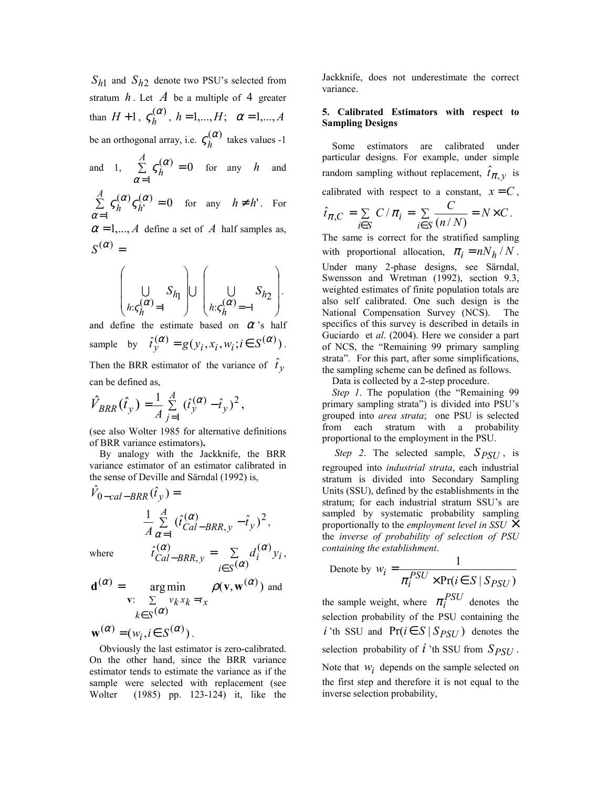*Sh*1 and *Sh*2 denote two PSU's selected from stratum  $h$ . Let  $\tilde{A}$  be a multiple of 4 greater than  $H + 1$ ,  $\zeta_h^{(\alpha)}$ ,  $h = 1,...,H$ ;  $\alpha = 1,...,A$ be an orthogonal array, i.e.  $\varsigma_h^{(\alpha)}$  takes values -1

and 1,  $\sum \zeta_k^{(\alpha)} = 0$ 1  $\sum_{h=1}^{A} \zeta_{h}^{(\alpha)} =$ = *A*  $\sum_{\alpha=1}^{L}$  $\zeta_h^{(\alpha)} = 0$  for any *h* and

0 1  $\sum_{n=1}^{A} \zeta_{h}^{(\alpha)} \zeta_{h'}^{(\alpha)} =$ = *A*  $\frac{2}{\alpha=1}$ <sup>5</sup> $h$ <sup>5</sup> $h$  $\zeta_h^{(\alpha)} \zeta_{h'}^{(\alpha)} = 0$  for any  $h \neq h'$ . For

 $\alpha = 1, ..., A$  define a set of A half samples as,  $S^{(\alpha)} =$ 

$$
\left(\bigcup_{h:\varsigma_h(\alpha)=1} S_{h_1}\right)\cup\left(\bigcup_{h:\varsigma_h(\alpha)=-1} S_{h_2}\right).
$$

and define the estimate based on  $\alpha$ 's half sample by  $\hat{t}_v^{(\alpha)} = g(y_i, x_i, w_i; i \in S^{(\alpha)})$ . Then the BRR estimator of the variance of  $\hat{t}_y$ 

can be defined as,

$$
\hat{V}_{BRR}(\hat{t}_y) = \frac{1}{A} \sum_{j=1}^{A} (\hat{t}_y^{(\alpha)} - \hat{t}_y)^2,
$$

(see also Wolter 1985 for alternative definitions of BRR variance estimators)**.**

By analogy with the Jackknife, the BRR variance estimator of an estimator calibrated in the sense of Deville and Särndal (1992) is,

$$
\hat{V}_{0-cal-BRR}(\hat{t}_y) =
$$
\n
$$
\frac{1}{A} \sum_{\alpha=1}^{A} (\hat{t}_{Cal-BRR,y}^{(\alpha)} - \hat{t}_y)^2,
$$
\nwhere\n
$$
\hat{t}_{Cal-BRR,y}^{(\alpha)} = \sum_{i \in S} d_i^{(\alpha)} y_i,
$$

$$
\mathbf{d}^{(\alpha)} = \underset{\mathbf{v}: \sum_{k \in S} (\alpha)}{\arg \min} \rho(\mathbf{v}, \mathbf{w}^{(\alpha)}) \text{ and}
$$

 $\mathbf{w}^{(\alpha)} = (w_i, i \in S^{(\alpha)})$ .

 Obviously the last estimator is zero-calibrated. On the other hand, since the BRR variance estimator tends to estimate the variance as if the sample were selected with replacement (see Wolter (1985) pp. 123-124) it, like the Jackknife, does not underestimate the correct variance.

# **5. Calibrated Estimators with respect to Sampling Designs**

 Some estimators are calibrated under particular designs. For example, under simple random sampling without replacement,  $\hat{t}_{\pi,y}$  is calibrated with respect to a constant,  $x = C$ ,  $=$   $\sum$   $C/\pi_i$  = ∈ *i i S*  $\hat{t}_{\pi,C} = \sum C/\pi_i = \sum \frac{C}{(m/n)^2}$  $\sum_{i \in S}$   $(n / N)$ *C*  $(n/N)$  $N\times C$ .

The same is correct for the stratified sampling with proportional allocation,  $\pi_i = nN_h/N$ . Under many 2-phase designs, see Särndal, Swensson and Wretman (1992), section 9.3, weighted estimates of finite population totals are also self calibrated. One such design is the National Compensation Survey (NCS). The specifics of this survey is described in details in Guciardo et *al*. (2004). Here we consider a part of NCS, the "Remaining 99 primary sampling strata". For this part, after some simplifications, the sampling scheme can be defined as follows.

Data is collected by a 2-step procedure.

 *Step 1*. The population (the "Remaining 99 primary sampling strata") is divided into PSU's grouped into *area strata*; one PSU is selected from each stratum with a probability proportional to the employment in the PSU.

*Step 2*. The selected sample,  $S_{PSU}$ , is regrouped into *industrial strata*, each industrial stratum is divided into Secondary Sampling Units (SSU), defined by the establishments in the stratum; for each industrial stratum SSU's are sampled by systematic probability sampling proportionally to the *employment level in SSU* × the *inverse of probability of selection of PSU containing the establishment*.

Denote by 
$$
w_i = \frac{1}{\pi_i^{PSU} \times Pr(i \in S \mid S_{PSU})}
$$

the sample weight, where  $\pi_i^{PSU}$  denotes the selection probability of the PSU containing the *i* 'th SSU and  $Pr(i \in S | S_{PSU})$  denotes the selection probability of  $i$  'th SSU from  $S_{PSU}$ . Note that  $w_i$  depends on the sample selected on the first step and therefore it is not equal to the inverse selection probability,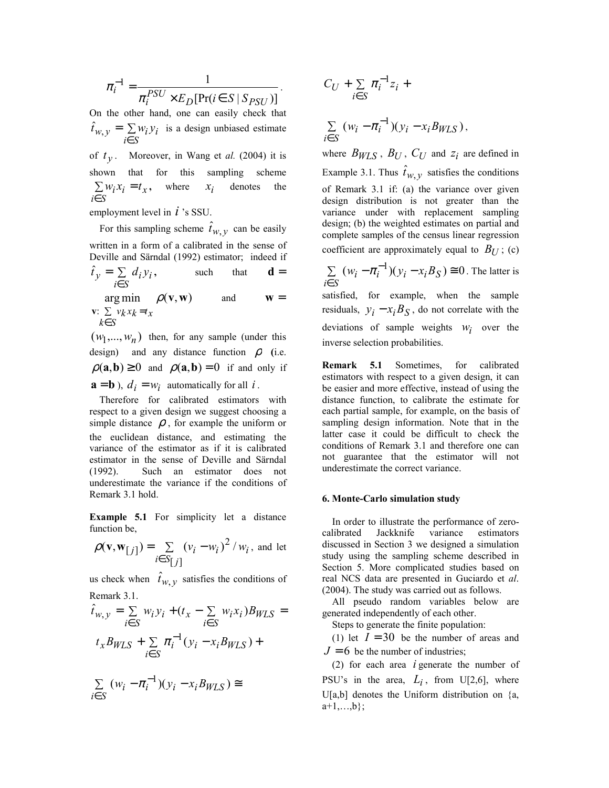$$
\pi_i^{-1} = \frac{1}{\pi_i^{PSU} \times E_D[\Pr(i \in S \mid S_{PSU})]}.
$$

On the other hand, one can easily check that = ∑ *i*∈*S*  $\hat{t}_{w, y} = \sum w_i y_i$  is a design unbiased estimate of  $t_v$ . Moreover, in Wang et *al.* (2004) it is

shown that for this sampling scheme *x i S*  $\sum w_i x_i = t$ ∈ **,** where  $x_i$  denotes the

employment level in *i* 's SSU.

For this sampling scheme  $\hat{t}_{w, v}$  can be easily written in a form of a calibrated in the sense of Deville and Särndal (1992) estimator; indeed if *i i i S*  $\hat{t}_y = \sum d_i y$ ∈  $\hat{t}_v = \sum d_i y_i$ , such that **d** =  $arg min$   $\rho(\mathbf{v}, \mathbf{w})$  $\mathbf{v}: \ \sum \ v_k x_k = t_x$ and  $\mathbf{w} =$ 

$$
k \in S
$$

 $(w_1, \ldots, w_n)$  then, for any sample (under this design) and any distance function  $\rho$  (i.e.  $\rho(\mathbf{a}, \mathbf{b}) \ge 0$  and  $\rho(\mathbf{a}, \mathbf{b}) = 0$  if and only if  $\mathbf{a} = \mathbf{b}$ ),  $d_i = w_i$  automatically for all *i*.

 Therefore for calibrated estimators with respect to a given design we suggest choosing a simple distance  $\rho$ , for example the uniform or the euclidean distance, and estimating the variance of the estimator as if it is calibrated estimator in the sense of Deville and Särndal (1992). Such an estimator does not underestimate the variance if the conditions of Remark 3.1 hold.

**Example 5.1** For simplicity let a distance function be,

$$
\rho(\mathbf{v}, \mathbf{w}_{[j]}) = \sum_{i \in S_{[j]}} (v_i - w_i)^2 / w_i
$$
, and let

us check when  $\hat{t}_{W, V}$  satisfies the conditions of Remark 3.1.

$$
\hat{t}_{w,y} = \sum_{i \in S} w_i y_i + (t_x - \sum_{i \in S} w_i x_i) B_{WLS} =
$$
  

$$
t_x B_{WLS} + \sum_{i \in S} \pi_i^{-1} (y_i - x_i B_{WLS}) +
$$

$$
\sum_{i\in S} (w_i - \pi_i^{-1})(y_i - x_i B_{WLS}) \cong
$$

$$
C_U + \sum_{i \in S} \pi_i^{-1} z_i +
$$
  

$$
\sum_{i \in S} (w_i - \pi_i^{-1})(y_i - x_i B_{WLS}),
$$

where  $B_{WLS}$ ,  $B_U$ ,  $C_U$  and  $z_i$  are defined in Example 3.1. Thus  $\hat{t}_{w, v}$  satisfies the conditions of Remark 3.1 if: (a) the variance over given design distribution is not greater than the variance under with replacement sampling design; (b) the weighted estimates on partial and complete samples of the census linear regression coefficient are approximately equal to  $B_{U}$ ; (c)

$$
\sum_{i \in S} (w_i - \pi_i^{-1})(y_i - x_i B_S) \cong 0
$$
. The latter is

satisfied, for example, when the sample residuals,  $y_i - x_i B_S$ , do not correlate with the deviations of sample weights  $w_i$  over the inverse selection probabilities.

**Remark 5.1** Sometimes, for calibrated estimators with respect to a given design, it can be easier and more effective, instead of using the distance function, to calibrate the estimate for each partial sample, for example, on the basis of sampling design information. Note that in the latter case it could be difficult to check the conditions of Remark 3.1 and therefore one can not guarantee that the estimator will not underestimate the correct variance.

### **6. Monte-Carlo simulation study**

In order to illustrate the performance of zerocalibrated Jackknife variance estimators discussed in Section 3 we designed a simulation study using the sampling scheme described in Section 5. More complicated studies based on real NCS data are presented in Guciardo et *al*. (2004). The study was carried out as follows.

 All pseudo random variables below are generated independently of each other.

Steps to generate the finite population:

(1) let  $I = 30$  be the number of areas and  $J = 6$  be the number of industries;

 (2) for each area *i* generate the number of PSU's in the area,  $L_i$ , from U[2,6], where U[a,b] denotes the Uniform distribution on {a,  $a+1,...,b$ ;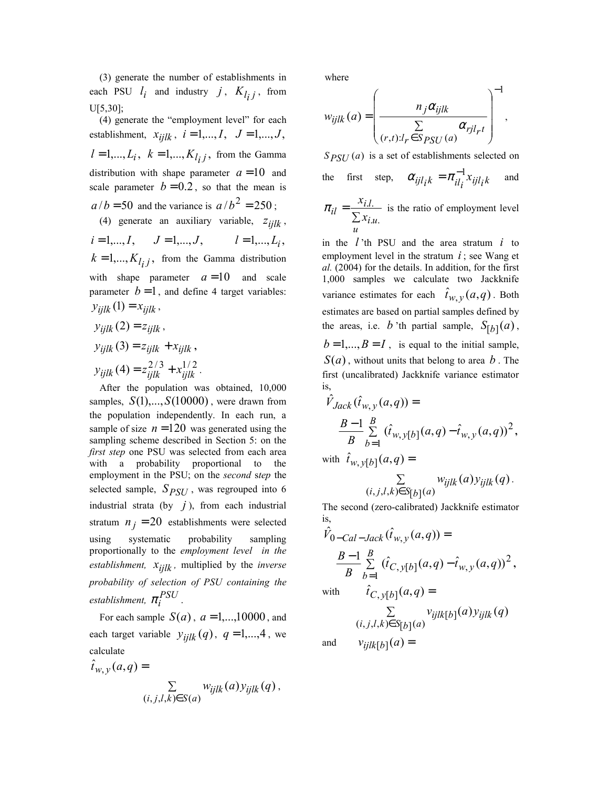(3) generate the number of establishments in each PSU  $l_i$  and industry  $j$ ,  $K_{l_i j}$ , from U[5,30];

 (4) generate the "employment level" for each establishment,  $x_{ijlk}$ ,  $i = 1,..., I$ ,  $J = 1,..., J$ ,  $l = 1,..., L_i$ ,  $k = 1,..., K_{l_i}$ , from the Gamma distribution with shape parameter  $a = 10$  and scale parameter  $b = 0.2$ , so that the mean is  $a/b = 50$  and the variance is  $a/b^2 = 250$ ; (4) generate an auxiliary variable,  $z_{i i l k}$ ,

 $i = 1,..., I,$   $J = 1,..., J,$   $l = 1,..., L_i,$  $k = 1,..., K<sub>i</sub>, i$ , from the Gamma distribution with shape parameter  $a=10$  and scale parameter  $b=1$ , and define 4 target variables:  $y_{ijlk}$  (1) =  $x_{ijlk}$ ,

$$
y_{ijlk}(2) = z_{ijlk},
$$
  
\n
$$
y_{ijlk}(3) = z_{ijlk} + x_{ijlk},
$$
  
\n
$$
y_{ijlk}(4) = z_{ijlk}^{2/3} + x_{ijlk}^{1/2}.
$$

 After the population was obtained, 10,000 samples,  $S(1),...,S(10000)$ , were drawn from the population independently. In each run, a sample of size  $n = 120$  was generated using the sampling scheme described in Section 5: on the *first step* one PSU was selected from each area with a probability proportional to the employment in the PSU; on the *second* s*tep* the selected sample,  $S_{PSI}$ , was regrouped into 6 industrial strata (by  $j$ ), from each industrial stratum  $n_j = 20$  establishments were selected using systematic probability sampling proportionally to the *employment level in the*   $$ *probability of selection of PSU containing the establishment,*  $\pi_i^{PSU}$ .

For each sample  $S(a)$ ,  $a = 1,...,10000$ , and each target variable  $y_{iijk}(q)$ ,  $q = 1,...,4$ , we calculate

$$
\hat{t}_{w,y}(a,q) = \sum_{(i,j,l,k) \in S(a)} w_{ijlk}(a) y_{ijlk}(q),
$$

where

$$
w_{ijlk}(a) = \left(\frac{n_j \alpha_{ijlk}}{\sum\limits_{(r,t):l_r \in S_{PSU}(a)} \alpha_{rjl_r t}}\right)^{-1}
$$

,

*S PSU* (*a*) is a set of establishments selected on the first step,  $\alpha_{ijl} = \pi_{il}^{-1} x_{ijl}$  and

 $=\frac{3}{2}$ *u i u*  $i_l = \frac{x_{i,l}}{\sum x_i}$ *x*  $\overline{\mathcal{U}}$ .  $\pi_{il} = \frac{x_{i,l}}{n}$  is the ratio of employment level

in the *l* 'th PSU and the area stratum *i* to employment level in the stratum  $i$ ; see Wang et *al.* (2004) for the details. In addition, for the first 1,000 samples we calculate two Jackknife variance estimates for each  $\hat{t}_{w, y}(a, q)$ . Both estimates are based on partial samples defined by the areas, i.e. *b* 'th partial sample,  $S_{[h]}(a)$ ,  $b=1,...,B=I$ , is equal to the initial sample,  $S(a)$ , without units that belong to area *b*. The first (uncalibrated) Jackknife variance estimator

first (uncanonical) *3ackk* of a standard  
is,  

$$
\hat{V}_{Jack}(\hat{t}_{w,y}(a,q)) =
$$

$$
\frac{B-1}{B} \sum_{b=1}^{B} (\hat{t}_{w,y[b]}(a,q) - \hat{t}_{w,y}(a,q))^2,
$$
with  $\hat{t}_{w,y[t]}(a,q) =$ 

with  $\hat{t}_{w, y[b]}(a, q) =$ 

$$
\sum_{(i,j,l,k)\in S_{[b]}(a)} w_{ijlk}(a) y_{ijlk}(q).
$$

The second (zero-calibrated) Jackknife estimator is,

$$
\hat{V}_{0-Cal-Jack}(\hat{t}_{w,y}(a,q)) =
$$
\n
$$
\frac{B-1}{B} \sum_{b=1}^{B} (\hat{t}_{C,y[b]}(a,q) - \hat{t}_{w,y}(a,q))^{2},
$$
\nwith\n
$$
\hat{t}_{C,y[b]}(a,q) =
$$
\n
$$
\sum_{(i,j,l,k) \in S[b]} v_{ijlk[b]}(a) y_{ijlk}(q)
$$
\nand\n
$$
v_{ijlk[b]}(a) =
$$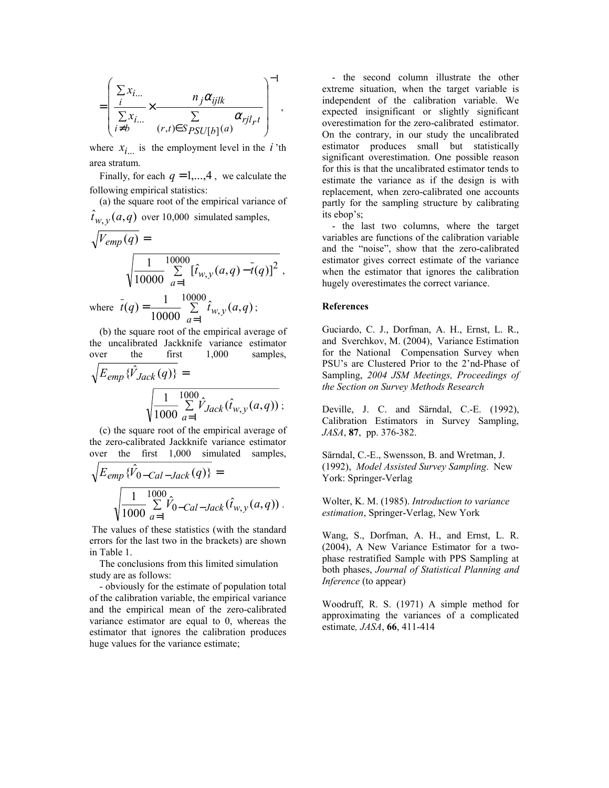$$
= \left(\frac{\sum_{i} x_{i...}}{\sum_{i \neq b} x_{i...}} \times \frac{n_j \alpha_{ijlk}}{(\sum_{i \neq b} x_{i...})} \frac{n_j \alpha_{ijlk}}{\sum_{i \neq b} x_{ij} \alpha_{ijlrt}}\right)^{-1},
$$

where  $x_i$  is the employment level in the *i* 'th area stratum.

Finally, for each  $q = 1, \ldots, 4$ , we calculate the following empirical statistics:

 (a) the square root of the empirical variance of  $\hat{t}_{W, V}(a, q)$  over 10,000 simulated samples,

$$
\sqrt{V_{emp}(q)} = \sqrt{\frac{1}{10000} \sum_{a=1}^{10000} [\hat{t}_{w,y}(a,q) - \bar{t}(q)]^2},
$$
  
where  $\bar{t}(q) = \frac{1}{10000} \sum_{a=1}^{10000} \hat{t}_{w,y}(a,q);$   
(b) the square root of the empirical average of

 (b) the square root of the empirical average of the uncalibrated Jackknife variance estimator over the first 1,000 samples,

$$
\sqrt{E_{emp} \{\hat{V}_{Jack}(q)\}} = \sqrt{\frac{1}{1000} \sum_{a=1}^{1000} \hat{V}_{Jack}(\hat{t}_{w,y}(a,q))};
$$

 (c) the square root of the empirical average of the zero-calibrated Jackknife variance estimator over the first 1,000 simulated samples,

$$
\sqrt{E_{emp} \{\hat{V}_{0-Cal-Jack}(q)\}} = \sqrt{\frac{1}{1000} \sum_{a=1}^{1000} \hat{V}_{0-Cal-Jack}(\hat{t}_{w,y}(a,q))}
$$

 The values of these statistics (with the standard errors for the last two in the brackets) are shown in Table 1.

 The conclusions from this limited simulation study are as follows:

 - obviously for the estimate of population total of the calibration variable, the empirical variance and the empirical mean of the zero-calibrated variance estimator are equal to 0, whereas the estimator that ignores the calibration produces huge values for the variance estimate;

 - the second column illustrate the other extreme situation, when the target variable is independent of the calibration variable. We expected insignificant or slightly significant overestimation for the zero-calibrated estimator. On the contrary, in our study the uncalibrated estimator produces small but statistically significant overestimation. One possible reason for this is that the uncalibrated estimator tends to estimate the variance as if the design is with replacement, when zero-calibrated one accounts partly for the sampling structure by calibrating its ebop's;

 - the last two columns, where the target variables are functions of the calibration variable and the "noise", show that the zero-calibrated estimator gives correct estimate of the variance when the estimator that ignores the calibration hugely overestimates the correct variance.

### **References**

Guciardo, C. J., Dorfman, A. H., Ernst, L. R., and Sverchkov, M. (2004), Variance Estimation for the National Compensation Survey when PSU's are Clustered Prior to the 2'nd-Phase of Sampling, *2004 JSM Meetings, Proceedings of the Section on Survey Methods Research*

Deville, J. C. and Särndal, C.-E. (1992), Calibration Estimators in Survey Sampling, *JASA*, **87**, pp. 376-382.

Särndal, C.-E., Swensson, B. and Wretman, J. (1992), *Model Assisted Survey Sampling*. New York: Springer-Verlag

Wolter, K. M. (1985). *Introduction to variance estimation*, Springer-Verlag, New York

Wang, S., Dorfman, A. H., and Ernst, L. R. (2004), A New Variance Estimator for a twophase restratified Sample with PPS Sampling at both phases, *Journal of Statistical Planning and Inference* (to appear)

Woodruff, R. S. (1971) A simple method for approximating the variances of a complicated estimate*, JASA*, **66**, 411-414